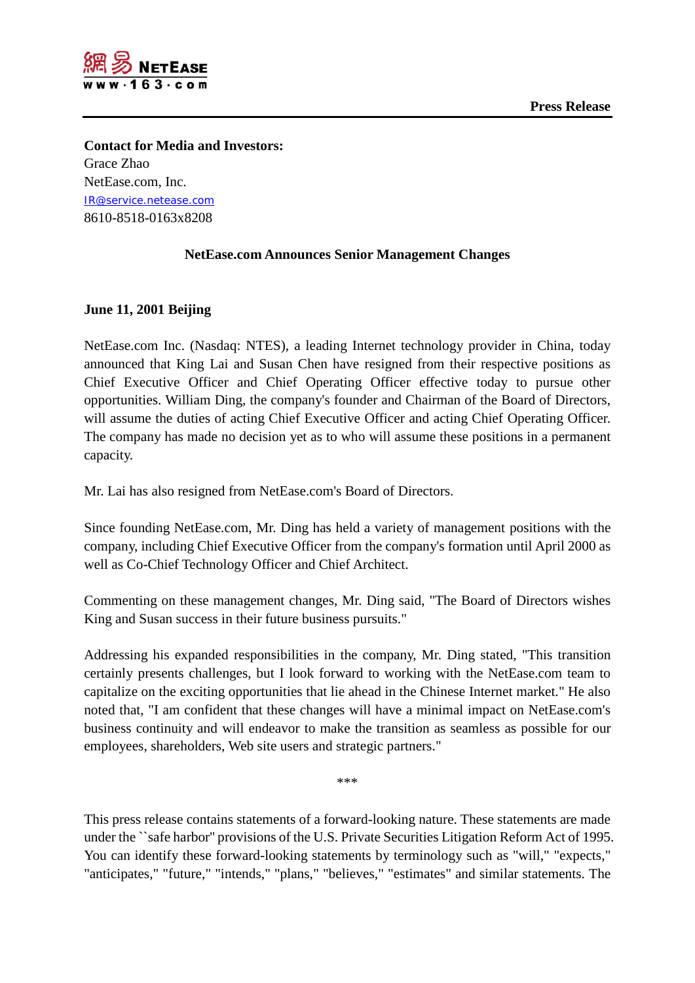

**Contact for Media and Investors:** Grace Zhao NetEase.com, Inc. [IR@service.netease.com](mailto:IR@service.netease.com) 8610-8518-0163x8208

## **NetEase.com Announces Senior Management Changes**

## **June 11, 2001 Beijing**

NetEase.com Inc. (Nasdaq: NTES), a leading Internet technology provider in China, today announced that King Lai and Susan Chen have resigned from their respective positions as Chief Executive Officer and Chief Operating Officer effective today to pursue other opportunities. William Ding, the company's founder and Chairman of the Board of Directors, will assume the duties of acting Chief Executive Officer and acting Chief Operating Officer. The company has made no decision yet as to who will assume these positions in a permanent capacity.

Mr. Lai has also resigned from NetEase.com's Board of Directors.

Since founding NetEase.com, Mr. Ding has held a variety of management positions with the company, including Chief Executive Officer from the company's formation until April 2000 as well as Co-Chief Technology Officer and Chief Architect.

Commenting on these management changes, Mr. Ding said, "The Board of Directors wishes King and Susan success in their future business pursuits."

Addressing his expanded responsibilities in the company, Mr. Ding stated, "This transition certainly presents challenges, but I look forward to working with the NetEase.com team to capitalize on the exciting opportunities that lie ahead in the Chinese Internet market." He also noted that, "I am confident that these changes will have a minimal impact on NetEase.com's business continuity and will endeavor to make the transition as seamless as possible for our employees, shareholders, Web site users and strategic partners."

\*\*\*

This press release contains statements of a forward-looking nature. These statements are made under the ``safe harbor'' provisions of the U.S. Private Securities Litigation Reform Act of 1995. You can identify these forward-looking statements by terminology such as "will," "expects," "anticipates," "future," "intends," "plans," "believes," "estimates" and similar statements. The